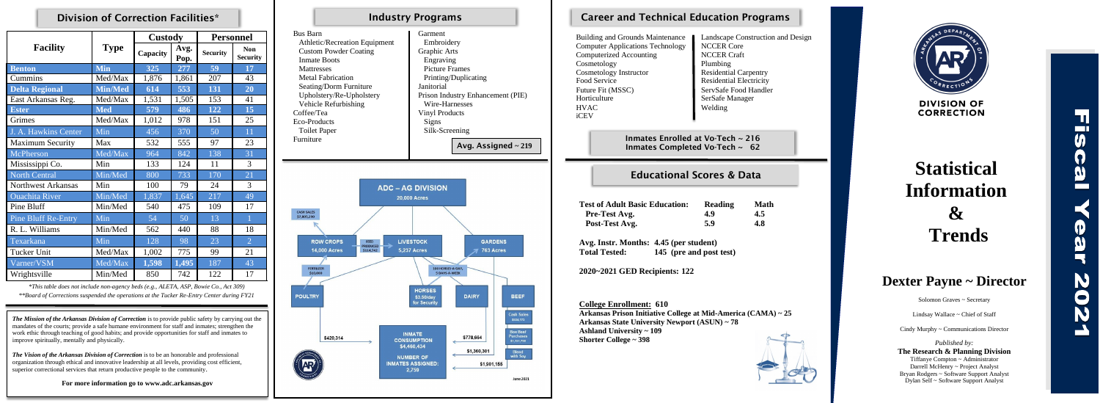## Division of Correction Facilities\*

|                            |                | <b>Custody</b> |              | <b>Personnel</b> |                               |
|----------------------------|----------------|----------------|--------------|------------------|-------------------------------|
| <b>Facility</b>            | <b>Type</b>    | Capacity       | Avg.<br>Pop. | <b>Security</b>  | <b>Non</b><br><b>Security</b> |
| <b>Benton</b>              | <b>Min</b>     | 325            | 277          | 59               | 17                            |
| Cummins                    | Med/Max        | 1,876          | 1,861        | 207              | 43                            |
| <b>Delta Regional</b>      | <b>Min/Med</b> | 614            | 553          | 131              | 20                            |
| East Arkansas Reg.         | Med/Max        | 1,531          | 1,505        | 153              | 41                            |
| <b>Ester</b>               | <b>Med</b>     | 579            | 486          | 122              | 15                            |
| Grimes                     | Med/Max        | 1,012          | 978          | 151              | 25                            |
| J. A. Hawkins Center       | Min            | 456            | 370          | 50               | 11                            |
| <b>Maximum Security</b>    | Max            | 532            | 555          | 97               | 23                            |
| McPherson                  | Med/Max        | 964            | 842          | 138              | 31                            |
| Mississippi Co.            | Min            | 133            | 124          | 11               | 3                             |
| <b>North Central</b>       | Min/Med        | 800            | 733          | 170              | 21                            |
| <b>Northwest Arkansas</b>  | Min            | 100            | 79           | 24               | 3                             |
| <b>Ouachita</b> River      | Min/Med        | 1,837          | 1,645        | 217              | 49                            |
| Pine Bluff                 | Min/Med        | 540            | 475          | 109              | 17                            |
| <b>Pine Bluff Re-Entry</b> | Min            | 54             | 50           | 13               | $\mathbf{1}$                  |
| R. L. Williams             | Min/Med        | 562            | 440          | 88               | 18                            |
| Texarkana                  | Min            | 128            | 98           | 23               | $\overline{2}$                |
| Tucker Unit                | Med/Max        | 1,002          | 775          | 99               | 21                            |
| Varner/VSM                 | Med/Max        | 1,598          | 1,495        | 187              | 43                            |
| Wrightsville               | Min/Med        | 850            | 742          | 122              | 17                            |

*\*This table does not include non-agency beds (e.g., ALETA, ASP, Bowie Co., Act 309)*

 *\*\*Board of Corrections suspended the operations at the Tucker Re-Entry Center during FY21*

|                                                                                                                                                                                                                                                                                                   | <b>Industry Programs</b>                                                                                                                                                                                                                                                                                                                        | <b>Career and Technical Education Pro</b>                                                                                                                                                                                                                                      |                                                                                                                                                                                         |
|---------------------------------------------------------------------------------------------------------------------------------------------------------------------------------------------------------------------------------------------------------------------------------------------------|-------------------------------------------------------------------------------------------------------------------------------------------------------------------------------------------------------------------------------------------------------------------------------------------------------------------------------------------------|--------------------------------------------------------------------------------------------------------------------------------------------------------------------------------------------------------------------------------------------------------------------------------|-----------------------------------------------------------------------------------------------------------------------------------------------------------------------------------------|
| <b>Bus Barn</b><br>Athletic/Recreation Equipment<br><b>Custom Powder Coating</b><br><b>Inmate Boots</b><br>Mattresses<br><b>Metal Fabrication</b><br>Seating/Dorm Furniture<br>Upholstery/Re-Upholstery<br>Vehicle Refurbishing<br>Coffee/Tea<br>Eco-Products<br><b>Toilet Paper</b><br>Furniture | Garment<br>Embroidery<br>Graphic Arts<br>Engraving<br><b>Picture Frames</b><br>Printing/Duplicating<br>Janitorial<br>Prison Industry Enhancement (PIE)<br>Wire-Harnesses<br><b>Vinyl Products</b><br><b>Signs</b><br>Silk-Screening                                                                                                             | <b>Building and Grounds Maintenance</b><br><b>Computer Applications Technology</b><br><b>Computerized Accounting</b><br>Cosmetology<br>Cosmetology Instructor<br>Food Service<br>Future Fit (MSSC)<br>Horticulture<br><b>HVAC</b><br>iCEV<br>Inmates Enrolled at Vo-Tech ~ 216 | Landscape Constru<br><b>NCCER Core</b><br><b>NCCER Craft</b><br>Plumbing<br><b>Residential Carpen</b><br><b>Residential Electric</b><br>ServSafe Food Har<br>SerSafe Manager<br>Welding |
|                                                                                                                                                                                                                                                                                                   | Avg. Assigned $\sim$ 219                                                                                                                                                                                                                                                                                                                        | Inmates Completed Vo-Tech ~ 62                                                                                                                                                                                                                                                 |                                                                                                                                                                                         |
| <b>CASH SALES</b><br>\$7,805,290                                                                                                                                                                                                                                                                  | <b>ADC – AG DIVISION</b><br><b>20,000 Acres</b>                                                                                                                                                                                                                                                                                                 | <b>Test of Adult Basic Education:</b><br>Pre-Test Avg.<br>Post-Test Avg.                                                                                                                                                                                                       | <b>Reading</b><br>N<br>4.9<br>$\overline{\mathbf{4}}$<br>$\overline{\mathbf{4}}$<br>5.9                                                                                                 |
| <b>ROW CROPS</b><br><b>FEED</b><br>PRODUCED<br><b>14,000 Acres</b><br>\$114,742                                                                                                                                                                                                                   | <b>LIVESTOCK</b><br><b>GARDENS</b><br><b>5,237 Acres</b><br>763 Acres                                                                                                                                                                                                                                                                           | Avg. Instr. Months: 4.45 (per student)<br><b>Total Tested:</b><br>145 (pre and post test)                                                                                                                                                                                      |                                                                                                                                                                                         |
| <b>FERTILIZER</b><br>\$10,000                                                                                                                                                                                                                                                                     | 100 HORSES-A-DAY,<br>5 DAYS-A-WEEK                                                                                                                                                                                                                                                                                                              | 2020~2021 GED Recipients: 122                                                                                                                                                                                                                                                  |                                                                                                                                                                                         |
| <b>POULTRY</b><br>\$420,314                                                                                                                                                                                                                                                                       | <b>HORSES</b><br><b>DAIRY</b><br><b>BEEF</b><br>\$3.50/day<br>for Security<br><b>Cash Sales</b><br>\$534,773<br><b>Box Beef</b><br><b>INMATE</b><br><b>Purchases</b><br>\$778,664<br><b>CONSUMPTION</b><br>\$1,151,750<br>\$4,460,434<br>\$1,360,301<br><b>Blend</b><br>with Soy<br><b>NUMBER OF</b><br><b>INMATES ASSIGNED:</b><br>\$1,901,155 | <b>College Enrollment: 610</b><br>Arkansas Prison Initiative College at Mid-America (CA<br>Arkansas State University Newport (ASUN) ~ 78<br><b>Ashland University ~ 109</b><br><b>Shorter College ~ 398</b>                                                                    |                                                                                                                                                                                         |
|                                                                                                                                                                                                                                                                                                   | 2,759<br><b>June 2021</b>                                                                                                                                                                                                                                                                                                                       |                                                                                                                                                                                                                                                                                |                                                                                                                                                                                         |

## areer and Technical Education Programs

| ding and Grounds Maintenance   | Landscape Co       |
|--------------------------------|--------------------|
| nputer Applications Technology | <b>NCCER Core</b>  |
| nputerized Accounting          | <b>NCCER Craft</b> |
|                                |                    |

ding and Grounds Maintenance **Landscape Construction and Design** metology Plumbing metology Instructor Residential Carpentry<br>
Residential Electricity<br>
Residential Electricity Residential Electricity  $\blacksquare$  ServSafe Food Handler ticulture SerSafe Manager Here is a welding welding

## Educational Scores & Data

| <b>Basic Education:</b> | Reading | Math |
|-------------------------|---------|------|
| vg.                     | 4.9     | 4.5  |
| vg.                     | 5.9     | 4.8  |

**College Enrollment: 610 Arkansas Prison Initiative College at Mid-America (CAMA) ~ 25 Arkansas State University Newport (ASUN) ~ 78 hland University ~ 109 Shorter College ~ 398**





*The Mission of the Arkansas Division of Correction* is to provide public safety by carrying out the mandates of the courts; provide a safe humane environment for staff and inmates; strengthen the work ethic through teaching of good habits; and provide opportunities for staff and inmates to improve spiritually, mentally and physically.

*The Vision of the Arkansas Division of Correction* is to be an honorable and professional organization through ethical and innovative leadership at all levels, providing cost efficient, superior correctional services that return productive people to the community.

**For more information go to www.adc.arkansas.gov**

# **Statistical Information & Trends**

## **Dexter Payne ~ Director**

Solomon Graves ~ Secretary

Lindsay Wallace ~ Chief of Staff

Cindy Murphy ~ Communications Director

*Published by:* **The Research & Planning Division** Tiffanye Compton ~ Administrator Darrell McHenry ~ Project Analyst Bryan Rodgers ~ Software Support Analyst

Dylan Self ~ Software Support Analyst